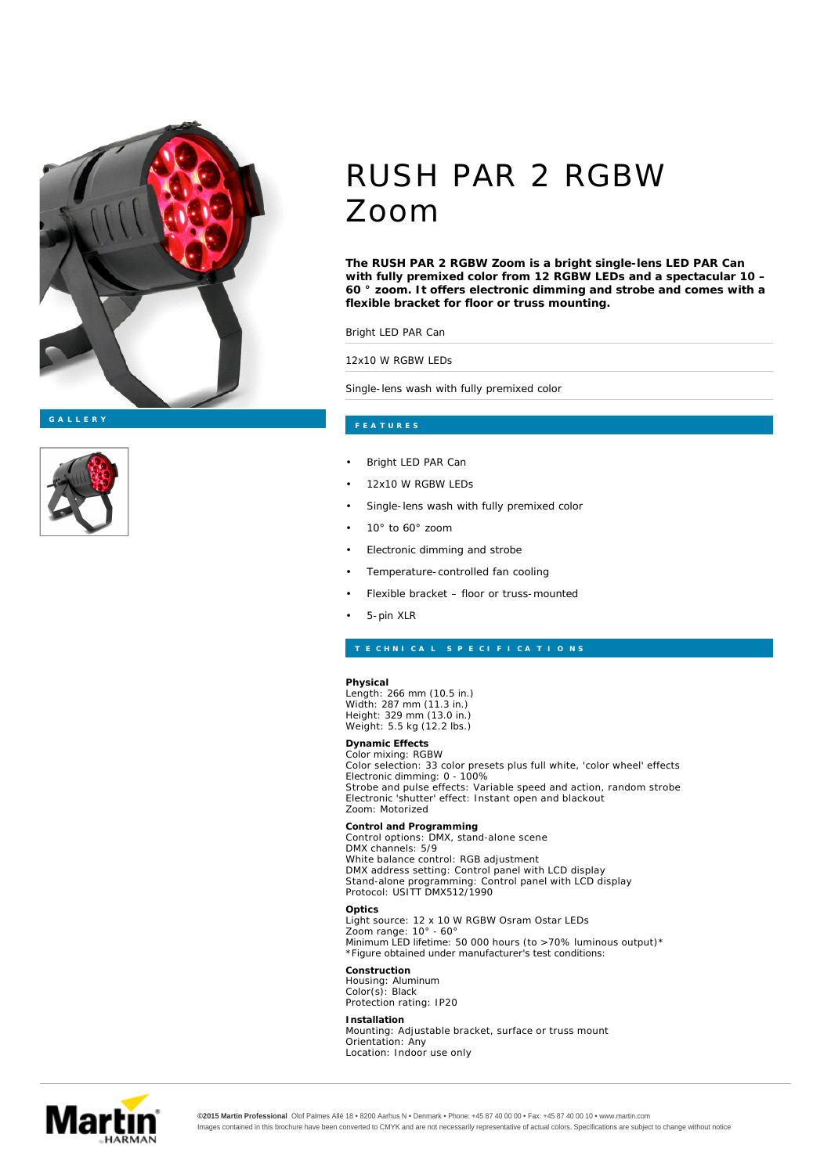



## RUSH PAR 2 RGBW Zoom

**The RUSH PAR 2 RGBW Zoom is a bright single-lens LED PAR Can with fully premixed color from 12 RGBW LEDs and a spectacular 10 – 60 ° zoom. It offers electronic dimming and strobe and comes with a flexible bracket for floor or truss mounting.**

Bright LED PAR Can

12x10 W RGBW LEDs

Single-lens wash with fully premixed color

- Bright LED PAR Can
- 12x10 W RGBW LEDs
- Single-lens wash with fully premixed color
- 10° to 60° zoom
- Electronic dimming and strobe
- Temperature-controlled fan cooling
- Flexible bracket floor or truss-mounted
- 5-pin XLR

**Physical** Length: 266 mm (10.5 in.) Width: 287 mm (11.3 in.) Height: 329 mm (13.0 in.) Weight: 5.5 kg (12.2 lbs.)

**Dynamic Effects** Color mixing: RGBW Color selection: 33 color presets plus full white, 'color wheel' effects Electronic dimming: 0 - 100% Strobe and pulse effects: Variable speed and action, random strobe Electronic 'shutter' effect: Instant open and blackout Zoom: Motorized

**Control and Programming** Control options: DMX, stand-alone scene **Optics Construction Installation** DMX channels: 5/9 White balance control: RGB adjustment DMX address setting: Control panel with LCD display Stand-alone programming: Control panel with LCD display Protocol: USITT DMX512/1990 Light source: 12 x 10 W RGBW Osram Ostar LEDs Zoom range: 10° - 60° Minimum LED lifetime: 50 000 hours (to >70% luminous output)\* *\*Figure obtained under manufacturer's test conditions:* Housing: Aluminum Color(s): Black Protection rating: IP20 Mounting: Adjustable bracket, surface or truss mount

Orientation: Any Location: Indoor use only



**©2015 Martin Professional** Olof Palmes Allé 18 • 8200 Aarhus N • Denmark • Phone: +45 87 40 00 00 • Fax: +45 87 40 00 10 • www.martin.com Images contained in this brochure have been converted to CMYK and are not necessarily representative of actual colors. Specifications are subject to change without notice